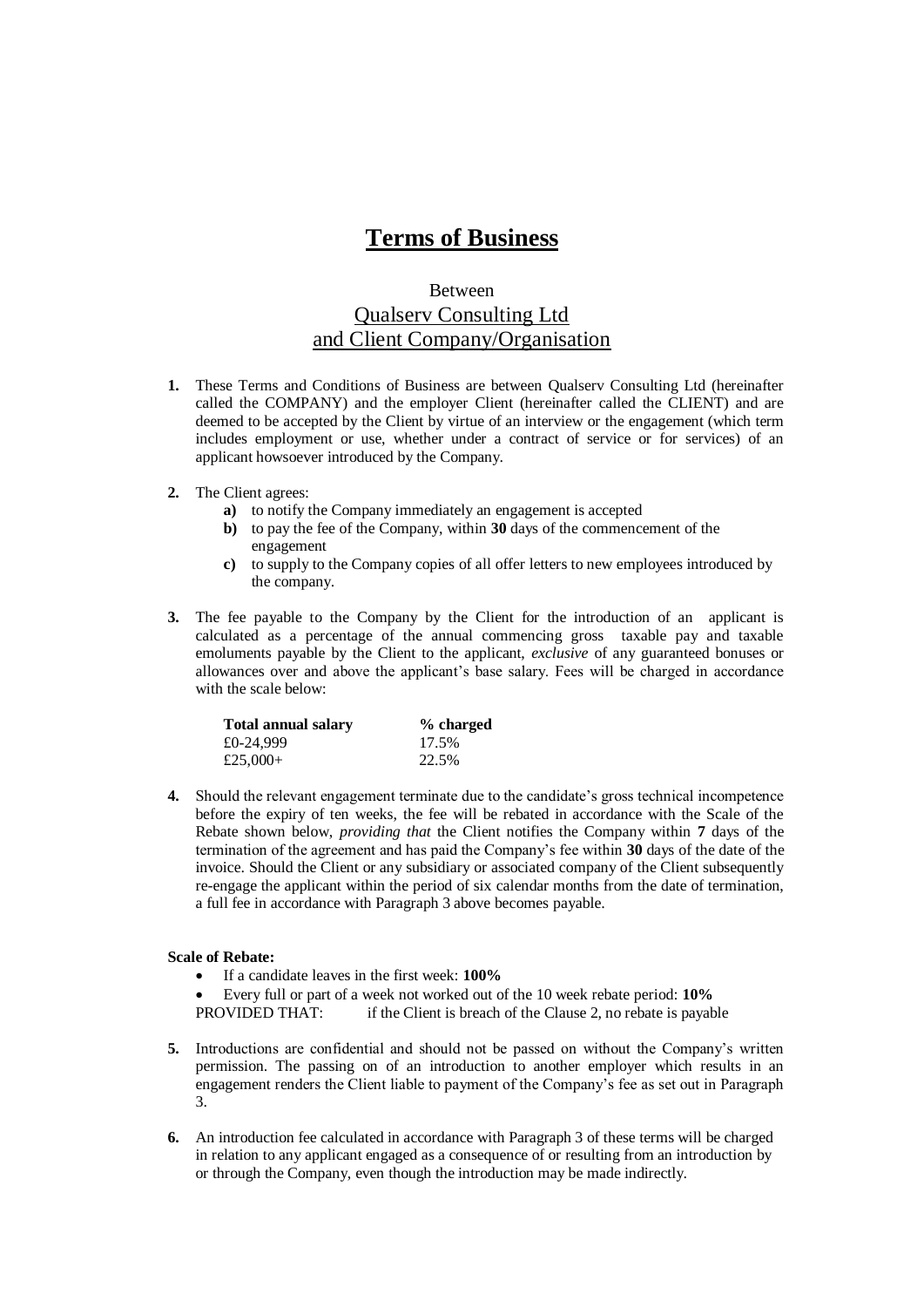## **Terms of Business**

## Between Qualserv Consulting Ltd and Client Company/Organisation

- **1.** These Terms and Conditions of Business are between Qualserv Consulting Ltd (hereinafter called the COMPANY) and the employer Client (hereinafter called the CLIENT) and are deemed to be accepted by the Client by virtue of an interview or the engagement (which term includes employment or use, whether under a contract of service or for services) of an applicant howsoever introduced by the Company.
- **2.** The Client agrees:
	- **a)** to notify the Company immediately an engagement is accepted
	- **b)** to pay the fee of the Company, within **30** days of the commencement of the engagement
	- **c)** to supply to the Company copies of all offer letters to new employees introduced by the company.
- **3.** The fee payable to the Company by the Client for the introduction of an applicant is calculated as a percentage of the annual commencing gross taxable pay and taxable emoluments payable by the Client to the applicant, *exclusive* of any guaranteed bonuses or allowances over and above the applicant's base salary. Fees will be charged in accordance with the scale below:

| Total annual salary | % charged |
|---------------------|-----------|
| £0-24,999           | 17.5%     |
| £25,000+            | 22.5%     |

**4.** Should the relevant engagement terminate due to the candidate's gross technical incompetence before the expiry of ten weeks, the fee will be rebated in accordance with the Scale of the Rebate shown below, *providing that* the Client notifies the Company within **7** days of the termination of the agreement and has paid the Company's fee within **30** days of the date of the invoice. Should the Client or any subsidiary or associated company of the Client subsequently re-engage the applicant within the period of six calendar months from the date of termination, a full fee in accordance with Paragraph 3 above becomes payable.

## **Scale of Rebate:**

- If a candidate leaves in the first week: **100%**
- Every full or part of a week not worked out of the 10 week rebate period: **10%**
- PROVIDED THAT: if the Client is breach of the Clause 2, no rebate is payable
- **5.** Introductions are confidential and should not be passed on without the Company's written permission. The passing on of an introduction to another employer which results in an engagement renders the Client liable to payment of the Company's fee as set out in Paragraph 3.
- **6.** An introduction fee calculated in accordance with Paragraph 3 of these terms will be charged in relation to any applicant engaged as a consequence of or resulting from an introduction by or through the Company, even though the introduction may be made indirectly.